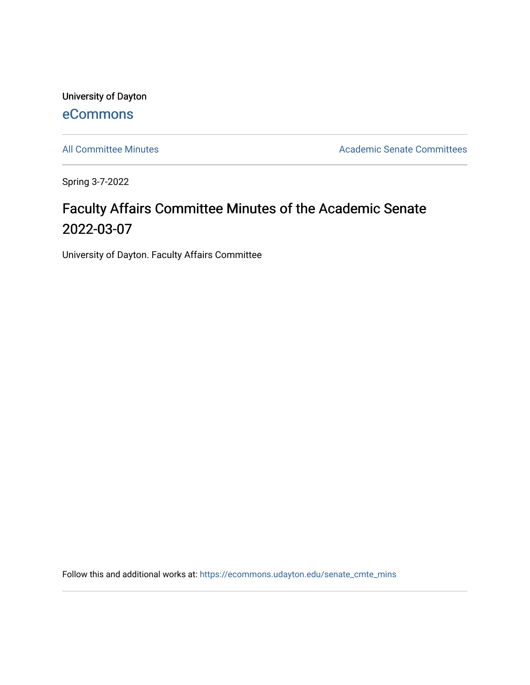University of Dayton [eCommons](https://ecommons.udayton.edu/)

[All Committee Minutes](https://ecommons.udayton.edu/senate_cmte_mins) **Academic Senate Committees** 

Spring 3-7-2022

## Faculty Affairs Committee Minutes of the Academic Senate 2022-03-07

University of Dayton. Faculty Affairs Committee

Follow this and additional works at: [https://ecommons.udayton.edu/senate\\_cmte\\_mins](https://ecommons.udayton.edu/senate_cmte_mins?utm_source=ecommons.udayton.edu%2Fsenate_cmte_mins%2F486&utm_medium=PDF&utm_campaign=PDFCoverPages)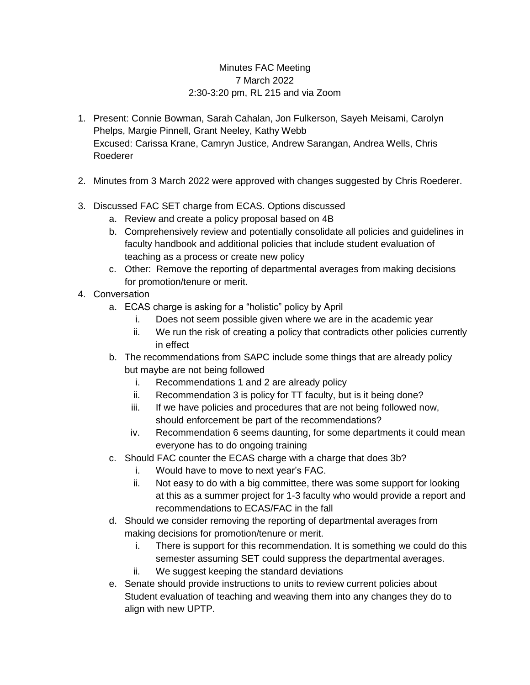## Minutes FAC Meeting 7 March 2022 2:30-3:20 pm, RL 215 and via Zoom

- 1. Present: Connie Bowman, Sarah Cahalan, Jon Fulkerson, Sayeh Meisami, Carolyn Phelps, Margie Pinnell, Grant Neeley, Kathy Webb Excused: Carissa Krane, Camryn Justice, Andrew Sarangan, Andrea Wells, Chris Roederer
- 2. Minutes from 3 March 2022 were approved with changes suggested by Chris Roederer.
- 3. Discussed FAC SET charge from ECAS. Options discussed
	- a. Review and create a policy proposal based on 4B
	- b. Comprehensively review and potentially consolidate all policies and guidelines in faculty handbook and additional policies that include student evaluation of teaching as a process or create new policy
	- c. Other: Remove the reporting of departmental averages from making decisions for promotion/tenure or merit.
- 4. Conversation
	- a. ECAS charge is asking for a "holistic" policy by April
		- i. Does not seem possible given where we are in the academic year
		- ii. We run the risk of creating a policy that contradicts other policies currently in effect
	- b. The recommendations from SAPC include some things that are already policy but maybe are not being followed
		- i. Recommendations 1 and 2 are already policy
		- ii. Recommendation 3 is policy for TT faculty, but is it being done?
		- iii. If we have policies and procedures that are not being followed now, should enforcement be part of the recommendations?
		- iv. Recommendation 6 seems daunting, for some departments it could mean everyone has to do ongoing training
	- c. Should FAC counter the ECAS charge with a charge that does 3b?
		- i. Would have to move to next year's FAC.
		- ii. Not easy to do with a big committee, there was some support for looking at this as a summer project for 1-3 faculty who would provide a report and recommendations to ECAS/FAC in the fall
	- d. Should we consider removing the reporting of departmental averages from making decisions for promotion/tenure or merit.
		- i. There is support for this recommendation. It is something we could do this semester assuming SET could suppress the departmental averages.
		- ii. We suggest keeping the standard deviations
	- e. Senate should provide instructions to units to review current policies about Student evaluation of teaching and weaving them into any changes they do to align with new UPTP.